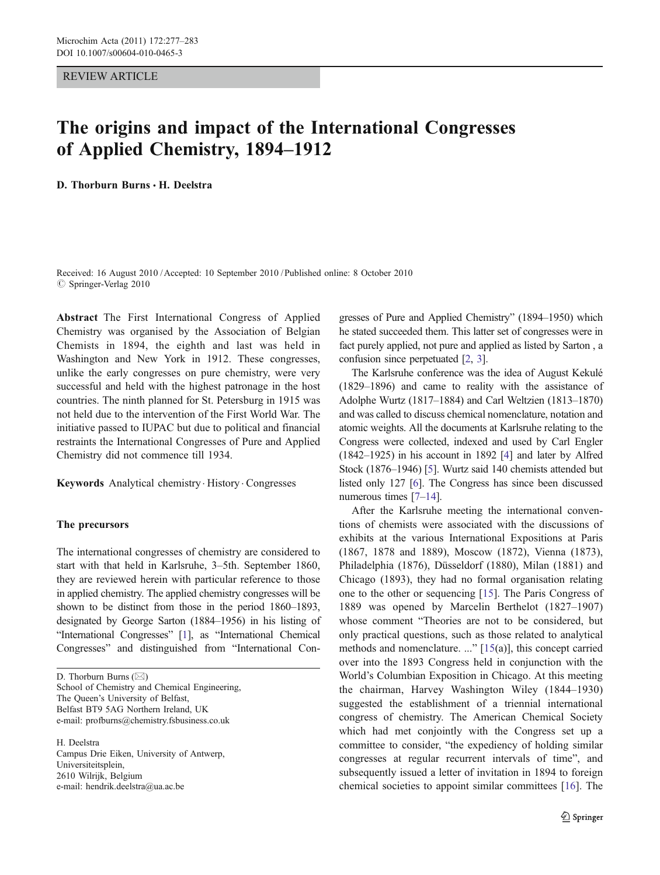#### REVIEW ARTICLE

## The origins and impact of the International Congresses of Applied Chemistry, 1894–1912

D. Thorburn Burns . H. Deelstra

Received: 16 August 2010 /Accepted: 10 September 2010 / Published online: 8 October 2010  $©$  Springer-Verlag 2010

Abstract The First International Congress of Applied Chemistry was organised by the Association of Belgian Chemists in 1894, the eighth and last was held in Washington and New York in 1912. These congresses, unlike the early congresses on pure chemistry, were very successful and held with the highest patronage in the host countries. The ninth planned for St. Petersburg in 1915 was not held due to the intervention of the First World War. The initiative passed to IUPAC but due to political and financial restraints the International Congresses of Pure and Applied Chemistry did not commence till 1934.

Keywords Analytical chemistry . History . Congresses

#### The precursors

The international congresses of chemistry are considered to start with that held in Karlsruhe, 3–5th. September 1860, they are reviewed herein with particular reference to those in applied chemistry. The applied chemistry congresses will be shown to be distinct from those in the period 1860–1893, designated by George Sarton (1884–1956) in his listing of "International Congresses" [\[1](#page-5-0)], as "International Chemical Congresses" and distinguished from "International Con-

D. Thorburn Burns  $(\boxtimes)$ School of Chemistry and Chemical Engineering, The Queen's University of Belfast, Belfast BT9 5AG Northern Ireland, UK e-mail: profburns@chemistry.fsbusiness.co.uk

H. Deelstra Campus Drie Eiken, University of Antwerp, Universiteitsplein, 2610 Wilrijk, Belgium e-mail: hendrik.deelstra@ua.ac.be

gresses of Pure and Applied Chemistry" (1894–1950) which he stated succeeded them. This latter set of congresses were in fact purely applied, not pure and applied as listed by Sarton , a confusion since perpetuated [\[2,](#page-5-0) [3](#page-5-0)].

The Karlsruhe conference was the idea of August Kekulé (1829–1896) and came to reality with the assistance of Adolphe Wurtz (1817–1884) and Carl Weltzien (1813–1870) and was called to discuss chemical nomenclature, notation and atomic weights. All the documents at Karlsruhe relating to the Congress were collected, indexed and used by Carl Engler (1842–1925) in his account in 1892 [[4\]](#page-5-0) and later by Alfred Stock (1876–1946) [\[5](#page-5-0)]. Wurtz said 140 chemists attended but listed only 127 [\[6\]](#page-5-0). The Congress has since been discussed numerous times [\[7](#page-5-0)–[14\]](#page-5-0).

After the Karlsruhe meeting the international conventions of chemists were associated with the discussions of exhibits at the various International Expositions at Paris (1867, 1878 and 1889), Moscow (1872), Vienna (1873), Philadelphia (1876), Düsseldorf (1880), Milan (1881) and Chicago (1893), they had no formal organisation relating one to the other or sequencing [[15\]](#page-5-0). The Paris Congress of 1889 was opened by Marcelin Berthelot (1827–1907) whose comment "Theories are not to be considered, but only practical questions, such as those related to analytical methods and nomenclature. ..." [[15\(](#page-5-0)a)], this concept carried over into the 1893 Congress held in conjunction with the World's Columbian Exposition in Chicago. At this meeting the chairman, Harvey Washington Wiley (1844–1930) suggested the establishment of a triennial international congress of chemistry. The American Chemical Society which had met conjointly with the Congress set up a committee to consider, "the expediency of holding similar congresses at regular recurrent intervals of time", and subsequently issued a letter of invitation in 1894 to foreign chemical societies to appoint similar committees [[16\]](#page-5-0). The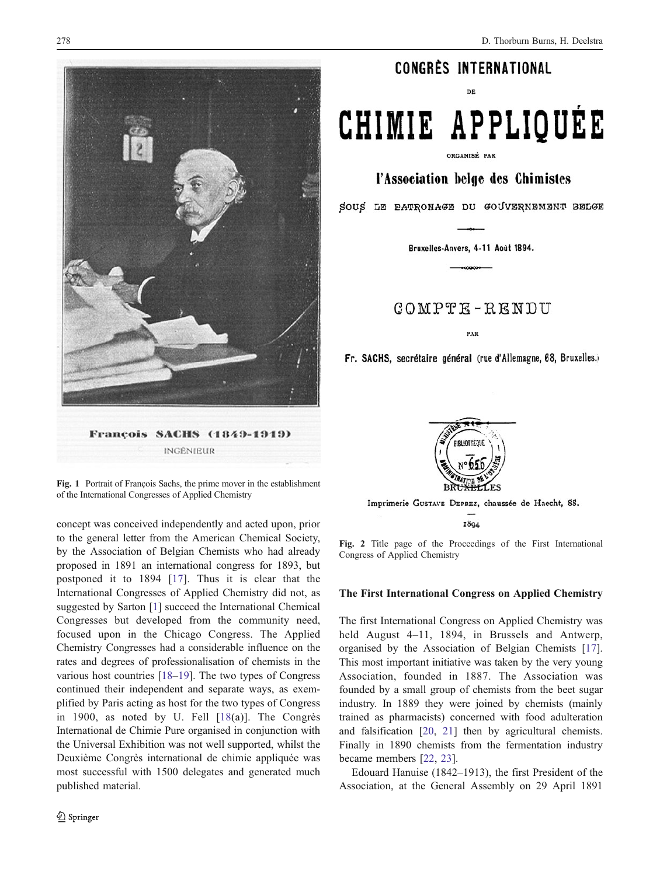<span id="page-1-0"></span>

Fig. 1 Portrait of François Sachs, the prime mover in the establishment of the International Congresses of Applied Chemistry

concept was conceived independently and acted upon, prior to the general letter from the American Chemical Society, by the Association of Belgian Chemists who had already proposed in 1891 an international congress for 1893, but postponed it to 1894 [\[17\]](#page-5-0). Thus it is clear that the International Congresses of Applied Chemistry did not, as suggested by Sarton [[1\]](#page-5-0) succeed the International Chemical Congresses but developed from the community need, focused upon in the Chicago Congress. The Applied Chemistry Congresses had a considerable influence on the rates and degrees of professionalisation of chemists in the various host countries [[18](#page-5-0)–[19\]](#page-5-0). The two types of Congress continued their independent and separate ways, as exemplified by Paris acting as host for the two types of Congress in 1900, as noted by U. Fell [[18\(](#page-5-0)a)]. The Congrès International de Chimie Pure organised in conjunction with the Universal Exhibition was not well supported, whilst the Deuxième Congrès international de chimie appliquée was most successful with 1500 delegates and generated much published material.

### CONGRÈS INTERNATIONAL

ne.

# CHIMIE APPLIQUÉE

ORGANISÉ PAR

l'Association belge des Chimistes

SOUS LE PATRONAGE DU GOUVERNEMENT BELGE

Bruxelles-Anvers, 4-11 Août 1894.

 $COMPTE - RENDU$ 

PAR

Fr. SACHS, secrétaire général (rue d'Allemagne, 68, Bruxelles.)



Imprimerie GUSTAVE DEPREZ, chaussée de Haecht, 88. 1894

Fig. 2 Title page of the Proceedings of the First International Congress of Applied Chemistry

#### The First International Congress on Applied Chemistry

The first International Congress on Applied Chemistry was held August 4–11, 1894, in Brussels and Antwerp, organised by the Association of Belgian Chemists [[17\]](#page-5-0). This most important initiative was taken by the very young Association, founded in 1887. The Association was founded by a small group of chemists from the beet sugar industry. In 1889 they were joined by chemists (mainly trained as pharmacists) concerned with food adulteration and falsification [[20,](#page-5-0) [21\]](#page-5-0) then by agricultural chemists. Finally in 1890 chemists from the fermentation industry became members [\[22](#page-5-0), [23](#page-5-0)].

Edouard Hanuise (1842–1913), the first President of the Association, at the General Assembly on 29 April 1891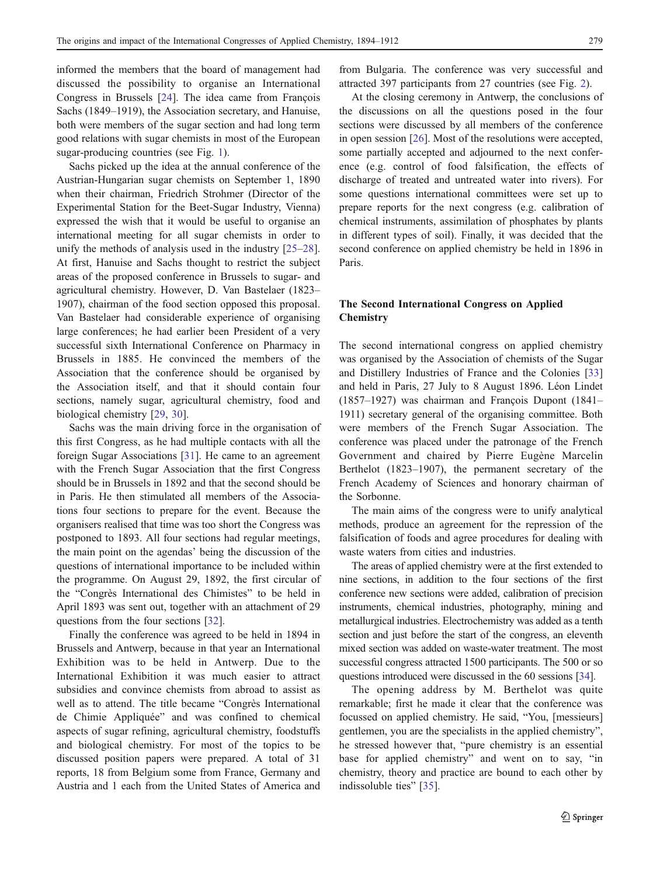informed the members that the board of management had discussed the possibility to organise an International Congress in Brussels [[24\]](#page-5-0). The idea came from François Sachs (1849–1919), the Association secretary, and Hanuise, both were members of the sugar section and had long term good relations with sugar chemists in most of the European sugar-producing countries (see Fig. [1\)](#page-1-0).

Sachs picked up the idea at the annual conference of the Austrian-Hungarian sugar chemists on September 1, 1890 when their chairman, Friedrich Strohmer (Director of the Experimental Station for the Beet-Sugar Industry, Vienna) expressed the wish that it would be useful to organise an international meeting for all sugar chemists in order to unify the methods of analysis used in the industry [\[25](#page-5-0)–[28](#page-5-0)]. At first, Hanuise and Sachs thought to restrict the subject areas of the proposed conference in Brussels to sugar- and agricultural chemistry. However, D. Van Bastelaer (1823– 1907), chairman of the food section opposed this proposal. Van Bastelaer had considerable experience of organising large conferences; he had earlier been President of a very successful sixth International Conference on Pharmacy in Brussels in 1885. He convinced the members of the Association that the conference should be organised by the Association itself, and that it should contain four sections, namely sugar, agricultural chemistry, food and biological chemistry [\[29](#page-5-0), [30\]](#page-5-0).

Sachs was the main driving force in the organisation of this first Congress, as he had multiple contacts with all the foreign Sugar Associations [\[31](#page-5-0)]. He came to an agreement with the French Sugar Association that the first Congress should be in Brussels in 1892 and that the second should be in Paris. He then stimulated all members of the Associations four sections to prepare for the event. Because the organisers realised that time was too short the Congress was postponed to 1893. All four sections had regular meetings, the main point on the agendas' being the discussion of the questions of international importance to be included within the programme. On August 29, 1892, the first circular of the "Congrès International des Chimistes" to be held in April 1893 was sent out, together with an attachment of 29 questions from the four sections [[32\]](#page-5-0).

Finally the conference was agreed to be held in 1894 in Brussels and Antwerp, because in that year an International Exhibition was to be held in Antwerp. Due to the International Exhibition it was much easier to attract subsidies and convince chemists from abroad to assist as well as to attend. The title became "Congrès International de Chimie Appliquée" and was confined to chemical aspects of sugar refining, agricultural chemistry, foodstuffs and biological chemistry. For most of the topics to be discussed position papers were prepared. A total of 31 reports, 18 from Belgium some from France, Germany and Austria and 1 each from the United States of America and

from Bulgaria. The conference was very successful and attracted 397 participants from 27 countries (see Fig. [2\)](#page-1-0).

At the closing ceremony in Antwerp, the conclusions of the discussions on all the questions posed in the four sections were discussed by all members of the conference in open session [[26\]](#page-5-0). Most of the resolutions were accepted, some partially accepted and adjourned to the next conference (e.g. control of food falsification, the effects of discharge of treated and untreated water into rivers). For some questions international committees were set up to prepare reports for the next congress (e.g. calibration of chemical instruments, assimilation of phosphates by plants in different types of soil). Finally, it was decided that the second conference on applied chemistry be held in 1896 in Paris.

#### The Second International Congress on Applied **Chemistry**

The second international congress on applied chemistry was organised by the Association of chemists of the Sugar and Distillery Industries of France and the Colonies [\[33](#page-6-0)] and held in Paris, 27 July to 8 August 1896. Léon Lindet (1857–1927) was chairman and François Dupont (1841– 1911) secretary general of the organising committee. Both were members of the French Sugar Association. The conference was placed under the patronage of the French Government and chaired by Pierre Eugène Marcelin Berthelot (1823–1907), the permanent secretary of the French Academy of Sciences and honorary chairman of the Sorbonne.

The main aims of the congress were to unify analytical methods, produce an agreement for the repression of the falsification of foods and agree procedures for dealing with waste waters from cities and industries.

The areas of applied chemistry were at the first extended to nine sections, in addition to the four sections of the first conference new sections were added, calibration of precision instruments, chemical industries, photography, mining and metallurgical industries. Electrochemistry was added as a tenth section and just before the start of the congress, an eleventh mixed section was added on waste-water treatment. The most successful congress attracted 1500 participants. The 500 or so questions introduced were discussed in the 60 sessions [[34](#page-6-0)].

The opening address by M. Berthelot was quite remarkable; first he made it clear that the conference was focussed on applied chemistry. He said, "You, [messieurs] gentlemen, you are the specialists in the applied chemistry", he stressed however that, "pure chemistry is an essential base for applied chemistry" and went on to say, "in chemistry, theory and practice are bound to each other by indissoluble ties" [[35\]](#page-6-0).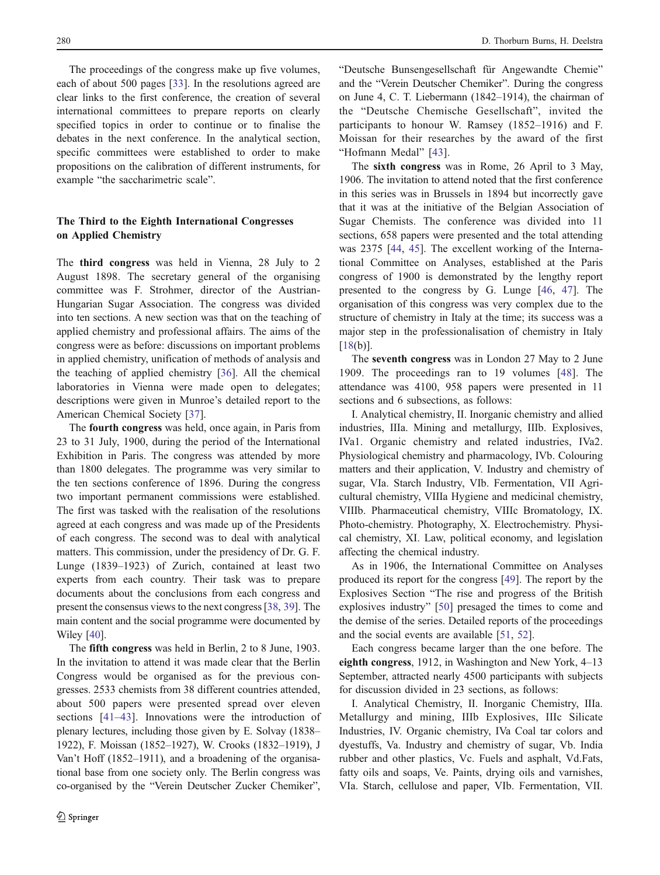The proceedings of the congress make up five volumes, each of about 500 pages [[33\]](#page-6-0). In the resolutions agreed are clear links to the first conference, the creation of several international committees to prepare reports on clearly specified topics in order to continue or to finalise the debates in the next conference. In the analytical section, specific committees were established to order to make propositions on the calibration of different instruments, for example "the saccharimetric scale".

#### The Third to the Eighth International Congresses on Applied Chemistry

The third congress was held in Vienna, 28 July to 2 August 1898. The secretary general of the organising committee was F. Strohmer, director of the Austrian-Hungarian Sugar Association. The congress was divided into ten sections. A new section was that on the teaching of applied chemistry and professional affairs. The aims of the congress were as before: discussions on important problems in applied chemistry, unification of methods of analysis and the teaching of applied chemistry [\[36](#page-6-0)]. All the chemical laboratories in Vienna were made open to delegates; descriptions were given in Munroe's detailed report to the American Chemical Society [\[37](#page-6-0)].

The fourth congress was held, once again, in Paris from 23 to 31 July, 1900, during the period of the International Exhibition in Paris. The congress was attended by more than 1800 delegates. The programme was very similar to the ten sections conference of 1896. During the congress two important permanent commissions were established. The first was tasked with the realisation of the resolutions agreed at each congress and was made up of the Presidents of each congress. The second was to deal with analytical matters. This commission, under the presidency of Dr. G. F. Lunge (1839–1923) of Zurich, contained at least two experts from each country. Their task was to prepare documents about the conclusions from each congress and present the consensus views to the next congress [\[38](#page-6-0), [39\]](#page-6-0). The main content and the social programme were documented by Wiley [[40\]](#page-6-0).

The fifth congress was held in Berlin, 2 to 8 June, 1903. In the invitation to attend it was made clear that the Berlin Congress would be organised as for the previous congresses. 2533 chemists from 38 different countries attended, about 500 papers were presented spread over eleven sections [\[41](#page-6-0)–[43\]](#page-6-0). Innovations were the introduction of plenary lectures, including those given by E. Solvay (1838– 1922), F. Moissan (1852–1927), W. Crooks (1832–1919), J Van't Hoff (1852–1911), and a broadening of the organisational base from one society only. The Berlin congress was co-organised by the "Verein Deutscher Zucker Chemiker",

"Deutsche Bunsengesellschaft für Angewandte Chemie" and the "Verein Deutscher Chemiker". During the congress on June 4, C. T. Liebermann (1842–1914), the chairman of the "Deutsche Chemische Gesellschaft", invited the participants to honour W. Ramsey (1852–1916) and F. Moissan for their researches by the award of the first "Hofmann Medal" [\[43](#page-6-0)].

The sixth congress was in Rome, 26 April to 3 May, 1906. The invitation to attend noted that the first conference in this series was in Brussels in 1894 but incorrectly gave that it was at the initiative of the Belgian Association of Sugar Chemists. The conference was divided into 11 sections, 658 papers were presented and the total attending was 2375 [[44,](#page-6-0) [45](#page-6-0)]. The excellent working of the International Committee on Analyses, established at the Paris congress of 1900 is demonstrated by the lengthy report presented to the congress by G. Lunge [[46,](#page-6-0) [47](#page-6-0)]. The organisation of this congress was very complex due to the structure of chemistry in Italy at the time; its success was a major step in the professionalisation of chemistry in Italy  $[18(b)].$  $[18(b)].$ 

The seventh congress was in London 27 May to 2 June 1909. The proceedings ran to 19 volumes [\[48](#page-6-0)]. The attendance was 4100, 958 papers were presented in 11 sections and 6 subsections, as follows:

I. Analytical chemistry, II. Inorganic chemistry and allied industries, IIIa. Mining and metallurgy, IIIb. Explosives, IVa1. Organic chemistry and related industries, IVa2. Physiological chemistry and pharmacology, IVb. Colouring matters and their application, V. Industry and chemistry of sugar, VIa. Starch Industry, VIb. Fermentation, VII Agricultural chemistry, VIIIa Hygiene and medicinal chemistry, VIIIb. Pharmaceutical chemistry, VIIIc Bromatology, IX. Photo-chemistry. Photography, X. Electrochemistry. Physical chemistry, XI. Law, political economy, and legislation affecting the chemical industry.

As in 1906, the International Committee on Analyses produced its report for the congress [\[49](#page-6-0)]. The report by the Explosives Section "The rise and progress of the British explosives industry" [[50\]](#page-6-0) presaged the times to come and the demise of the series. Detailed reports of the proceedings and the social events are available [\[51](#page-6-0), [52](#page-6-0)].

Each congress became larger than the one before. The eighth congress, 1912, in Washington and New York, 4–13 September, attracted nearly 4500 participants with subjects for discussion divided in 23 sections, as follows:

I. Analytical Chemistry, II. Inorganic Chemistry, IIIa. Metallurgy and mining, IIIb Explosives, IIIc Silicate Industries, IV. Organic chemistry, IVa Coal tar colors and dyestuffs, Va. Industry and chemistry of sugar, Vb. India rubber and other plastics, Vc. Fuels and asphalt, Vd.Fats, fatty oils and soaps, Ve. Paints, drying oils and varnishes, VIa. Starch, cellulose and paper, VIb. Fermentation, VII.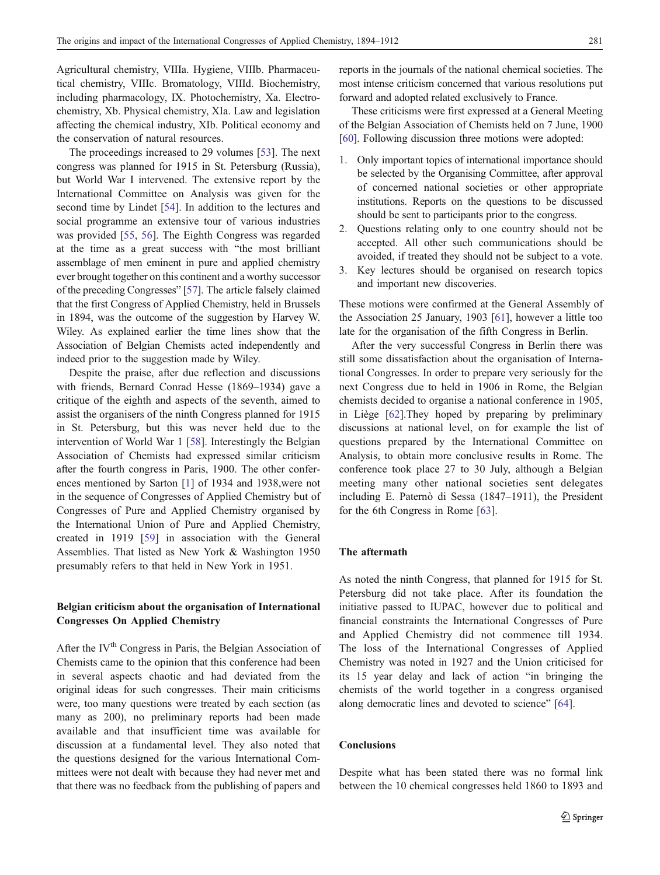Agricultural chemistry, VIIIa. Hygiene, VIIIb. Pharmaceutical chemistry, VIIIc. Bromatology, VIIId. Biochemistry, including pharmacology, IX. Photochemistry, Xa. Electrochemistry, Xb. Physical chemistry, XIa. Law and legislation affecting the chemical industry, XIb. Political economy and the conservation of natural resources.

The proceedings increased to 29 volumes [\[53](#page-6-0)]. The next congress was planned for 1915 in St. Petersburg (Russia), but World War I intervened. The extensive report by the International Committee on Analysis was given for the second time by Lindet [\[54](#page-6-0)]. In addition to the lectures and social programme an extensive tour of various industries was provided [[55,](#page-6-0) [56\]](#page-6-0). The Eighth Congress was regarded at the time as a great success with "the most brilliant assemblage of men eminent in pure and applied chemistry ever brought together on this continent and a worthy successor of the preceding Congresses" [\[57](#page-6-0)]. The article falsely claimed that the first Congress of Applied Chemistry, held in Brussels in 1894, was the outcome of the suggestion by Harvey W. Wiley. As explained earlier the time lines show that the Association of Belgian Chemists acted independently and indeed prior to the suggestion made by Wiley.

Despite the praise, after due reflection and discussions with friends, Bernard Conrad Hesse (1869–1934) gave a critique of the eighth and aspects of the seventh, aimed to assist the organisers of the ninth Congress planned for 1915 in St. Petersburg, but this was never held due to the intervention of World War 1 [\[58](#page-6-0)]. Interestingly the Belgian Association of Chemists had expressed similar criticism after the fourth congress in Paris, 1900. The other conferences mentioned by Sarton [\[1](#page-5-0)] of 1934 and 1938,were not in the sequence of Congresses of Applied Chemistry but of Congresses of Pure and Applied Chemistry organised by the International Union of Pure and Applied Chemistry, created in 1919 [\[59](#page-6-0)] in association with the General Assemblies. That listed as New York & Washington 1950 presumably refers to that held in New York in 1951.

#### Belgian criticism about the organisation of International Congresses On Applied Chemistry

After the IV<sup>th</sup> Congress in Paris, the Belgian Association of Chemists came to the opinion that this conference had been in several aspects chaotic and had deviated from the original ideas for such congresses. Their main criticisms were, too many questions were treated by each section (as many as 200), no preliminary reports had been made available and that insufficient time was available for discussion at a fundamental level. They also noted that the questions designed for the various International Committees were not dealt with because they had never met and that there was no feedback from the publishing of papers and

reports in the journals of the national chemical societies. The most intense criticism concerned that various resolutions put forward and adopted related exclusively to France.

These criticisms were first expressed at a General Meeting of the Belgian Association of Chemists held on 7 June, 1900 [\[60](#page-6-0)]. Following discussion three motions were adopted:

- 1. Only important topics of international importance should be selected by the Organising Committee, after approval of concerned national societies or other appropriate institutions. Reports on the questions to be discussed should be sent to participants prior to the congress.
- 2. Questions relating only to one country should not be accepted. All other such communications should be avoided, if treated they should not be subject to a vote.
- 3. Key lectures should be organised on research topics and important new discoveries.

These motions were confirmed at the General Assembly of the Association 25 January, 1903 [[61\]](#page-6-0), however a little too late for the organisation of the fifth Congress in Berlin.

After the very successful Congress in Berlin there was still some dissatisfaction about the organisation of International Congresses. In order to prepare very seriously for the next Congress due to held in 1906 in Rome, the Belgian chemists decided to organise a national conference in 1905, in Liège [\[62](#page-6-0)].They hoped by preparing by preliminary discussions at national level, on for example the list of questions prepared by the International Committee on Analysis, to obtain more conclusive results in Rome. The conference took place 27 to 30 July, although a Belgian meeting many other national societies sent delegates including E. Paternò di Sessa (1847–1911), the President for the 6th Congress in Rome [[63\]](#page-6-0).

#### The aftermath

As noted the ninth Congress, that planned for 1915 for St. Petersburg did not take place. After its foundation the initiative passed to IUPAC, however due to political and financial constraints the International Congresses of Pure and Applied Chemistry did not commence till 1934. The loss of the International Congresses of Applied Chemistry was noted in 1927 and the Union criticised for its 15 year delay and lack of action "in bringing the chemists of the world together in a congress organised along democratic lines and devoted to science" [[64\]](#page-6-0).

#### Conclusions

Despite what has been stated there was no formal link between the 10 chemical congresses held 1860 to 1893 and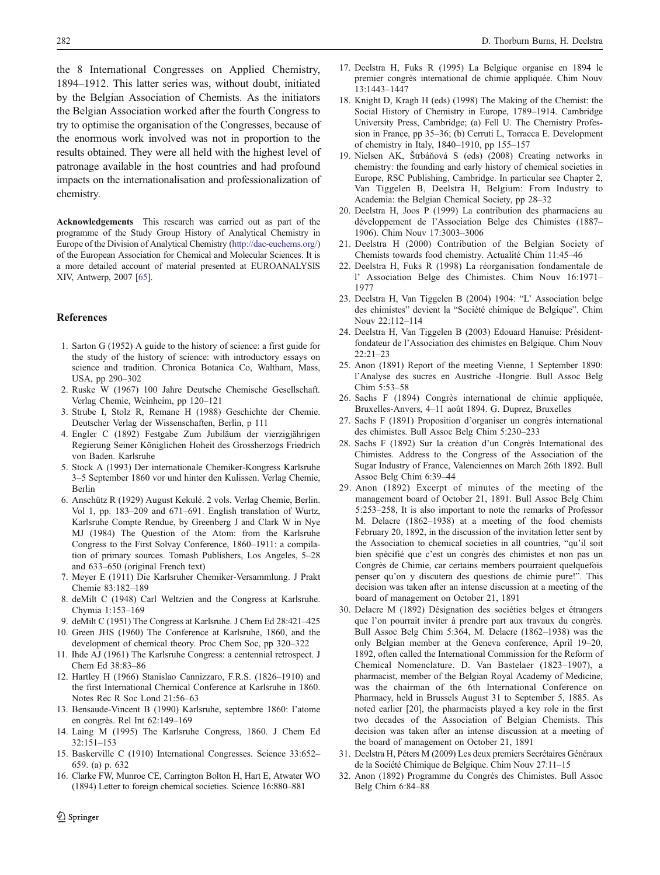the 8 International Congresses on Applied Chemistry, 1894–1912. This latter series was, without doubt, initiated by the Belgian Association of Chemists. As the initiators the Belgian Association worked after the fourth Congress to try to optimise the organisation of the Congresses, because of the enormous work involved was not in proportion to the results obtained. They were all held with the highest level of patronage available in the host countries and had profound impacts on the internationalisation and professionalization of chemistry.

Acknowledgements This research was carried out as part of the programme of the Study Group History of Analytical Chemistry in Europe of the Division of Analytical Chemistry [\(http://dac-euchems.org/](http://dac-euchems.org/)) of the European Association for Chemical and Molecular Sciences. It is a more detailed account of material presented at EUROANALYSIS XIV, Antwerp, 2007 [[65](#page-6-0)].

#### References

- 1. Sarton G (1952) A guide to the history of science: a first guide for the study of the history of science: with introductory essays on science and tradition. Chronica Botanica Co, Waltham, Mass, USA, pp 290–302
- 2. Ruske W (1967) 100 Jahre Deutsche Chemische Gesellschaft. Verlag Chemie, Weinheim, pp 120–121
- 3. Strube I, Stolz R, Remane H (1988) Geschichte der Chemie. Deutscher Verlag der Wissenschaften, Berlin, p 111
- 4. Engler C (1892) Festgabe Zum Jubiläum der vierzigjährigen Regierung Seiner Königlichen Hoheit des Grossherzogs Friedrich von Baden. Karlsruhe
- 5. Stock A (1993) Der internationale Chemiker-Kongress Karlsruhe 3–5 September 1860 vor und hinter den Kulissen. Verlag Chemie, Berlin
- 6. Anschütz R (1929) August Kekulé. 2 vols. Verlag Chemie, Berlin. Vol 1, pp. 183–209 and 671–691. English translation of Wurtz, Karlsruhe Compte Rendue, by Greenberg J and Clark W in Nye MJ (1984) The Question of the Atom: from the Karlsruhe Congress to the First Solvay Conference, 1860–1911: a compilation of primary sources. Tomash Publishers, Los Angeles, 5–28 and 633–650 (original French text)
- 7. Meyer E (1911) Die Karlsruher Chemiker-Versammlung. J Prakt Chemie 83:182–189
- 8. deMilt C (1948) Carl Weltzien and the Congress at Karlsruhe. Chymia 1:153–169
- 9. deMilt C (1951) The Congress at Karlsruhe. J Chem Ed 28:421–425
- 10. Green JHS (1960) The Conference at Karlsruhe, 1860, and the development of chemical theory. Proc Chem Soc, pp 320–322
- 11. Ihde AJ (1961) The Karlsruhe Congress: a centennial retrospect. J Chem Ed 38:83–86
- 12. Hartley H (1966) Stanislao Cannizzaro, F.R.S. (1826–1910) and the first International Chemical Conference at Karlsruhe in 1860. Notes Rec R Soc Lond 21:56–63
- 13. Bensaude-Vincent B (1990) Karlsruhe, septembre 1860: l'atome en congrès. Rel Int 62:149–169
- 14. Laing M (1995) The Karlsruhe Congress, 1860. J Chem Ed 32:151–153
- 15. Baskerville C (1910) International Congresses. Science 33:652– 659. (a) p. 632
- 16. Clarke FW, Munroe CE, Carrington Bolton H, Hart E, Atwater WO (1894) Letter to foreign chemical societies. Science 16:880–881
- <span id="page-5-0"></span>282 D. Thorburn Burns, H. Deelstra
	- 17. Deelstra H, Fuks R (1995) La Belgique organise en 1894 le premier congrès international de chimie appliquée. Chim Nouv 13:1443–1447
	- 18. Knight D, Kragh H (eds) (1998) The Making of the Chemist: the Social History of Chemistry in Europe, 1789–1914. Cambridge University Press, Cambridge; (a) Fell U. The Chemistry Profession in France, pp 35–36; (b) Cerruti L, Torracca E. Development of chemistry in Italy, 1840–1910, pp 155–157
	- 19. Nielsen AK, Štrbáňová S (eds) (2008) Creating networks in chemistry: the founding and early history of chemical societies in Europe, RSC Publishing, Cambridge. In particular see Chapter 2, Van Tiggelen B, Deelstra H, Belgium: From Industry to Academia: the Belgian Chemical Society, pp 28–32
	- 20. Deelstra H, Joos P (1999) La contribution des pharmaciens au développement de l'Association Belge des Chimistes (1887– 1906). Chim Nouv 17:3003–3006
	- 21. Deelstra H (2000) Contribution of the Belgian Society of Chemists towards food chemistry. Actualité Chim 11:45–46
	- 22. Deelstra H, Fuks R (1998) La réorganisation fondamentale de l' Association Belge des Chimistes. Chim Nouv 16:1971– 1977
	- 23. Deelstra H, Van Tiggelen B (2004) 1904: "L' Association belge des chimistes" devient la "Société chimique de Belgique". Chim Nouv 22:112–114
	- 24. Deelstra H, Van Tiggelen B (2003) Edouard Hanuise: Présidentfondateur de l'Association des chimistes en Belgique. Chim Nouv 22:21–23
	- 25. Anon (1891) Report of the meeting Vienne, 1 September 1890: l'Analyse des sucres en Austriche -Hongrie. Bull Assoc Belg Chim 5:53–58
	- 26. Sachs F (1894) Congrès international de chimie appliquée, Bruxelles-Anvers, 4–11 août 1894. G. Duprez, Bruxelles
	- 27. Sachs F (1891) Proposition d'organiser un congrès international des chimistes. Bull Assoc Belg Chim 5:230–233
	- 28. Sachs F (1892) Sur la création d'un Congrès International des Chimistes. Address to the Congress of the Association of the Sugar Industry of France, Valenciennes on March 26th 1892. Bull Assoc Belg Chim 6:39–44
	- 29. Anon (1892) Excerpt of minutes of the meeting of the management board of October 21, 1891. Bull Assoc Belg Chim 5:253–258, It is also important to note the remarks of Professor M. Delacre (1862–1938) at a meeting of the food chemists February 20, 1892, in the discussion of the invitation letter sent by the Association to chemical societies in all countries, "qu'il soit bien spécifié que c'est un congrès des chimistes et non pas un Congrès de Chimie, car certains members pourraient quelquefois penser qu'on y discutera des questions de chimie pure!". This decision was taken after an intense discussion at a meeting of the board of management on October 21, 1891
	- 30. Delacre M (1892) Désignation des sociéties belges et étrangers que l'on pourrait inviter à prendre part aux travaux du congrès. Bull Assoc Belg Chim 5:364, M. Delacre (1862–1938) was the only Belgian member at the Geneva conference, April 19–20, 1892, often called the International Commission for the Reform of Chemical Nomenclature. D. Van Bastelaer (1823–1907), a pharmacist, member of the Belgian Royal Academy of Medicine, was the chairman of the 6th International Conference on Pharmacy, held in Brussels August 31 to September 5, 1885. As noted earlier [20], the pharmacists played a key role in the first two decades of the Association of Belgian Chemists. This decision was taken after an intense discussion at a meeting of the board of management on October 21, 1891
	- 31. Deelstra H, Péters M (2009) Les deux premiers Secrétaires Généraux de la Société Chimique de Belgique. Chim Nouv 27:11–15
	- 32. Anon (1892) Programme du Congrès des Chimistes. Bull Assoc Belg Chim 6:84–88